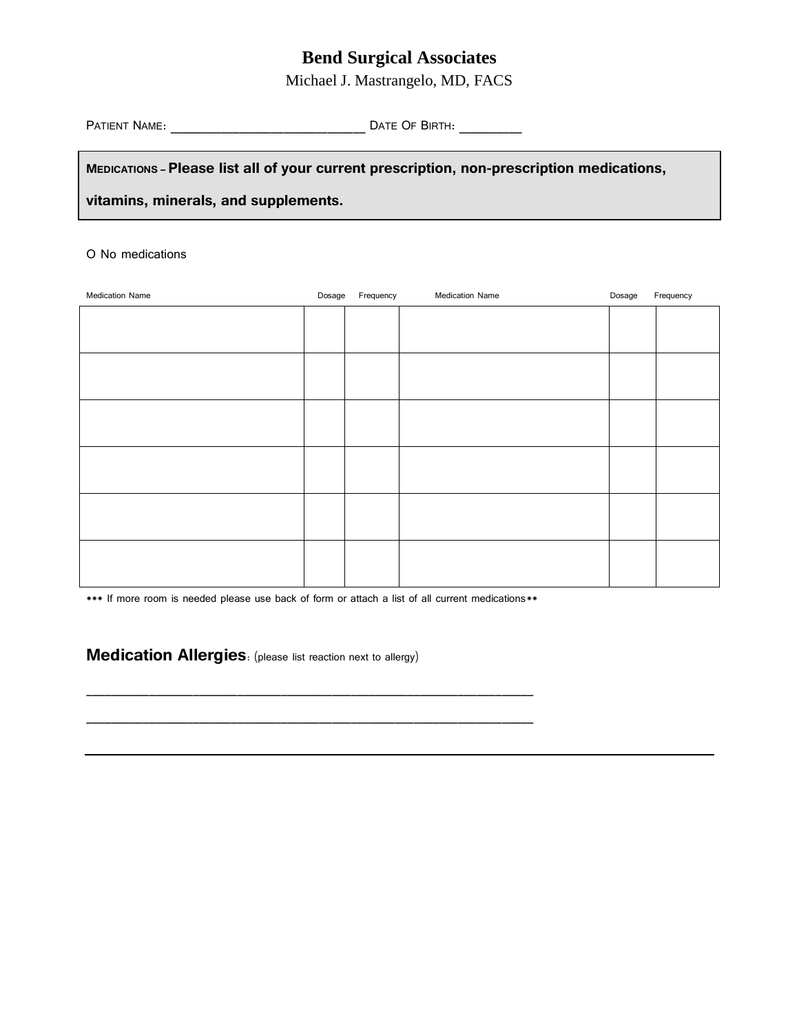## **Bend Surgical Associates**

Michael J. Mastrangelo, MD, FACS

PATIENT NAME: \_\_\_\_\_\_\_\_\_\_\_\_\_\_\_\_\_\_\_\_\_\_\_\_\_\_\_\_\_\_\_ DATE OF BIRTH: \_\_\_\_\_\_\_\_\_\_

**MEDICATIONS – Please list all of your current prescription, non-prescription medications,** 

**vitamins, minerals, and supplements.**

#### O No medications

| Medication Name | Dosage Frequency | Medication Name | Dosage | Frequency |
|-----------------|------------------|-----------------|--------|-----------|
|                 |                  |                 |        |           |
|                 |                  |                 |        |           |
|                 |                  |                 |        |           |
|                 |                  |                 |        |           |
|                 |                  |                 |        |           |
|                 |                  |                 |        |           |
|                 |                  |                 |        |           |
|                 |                  |                 |        |           |
|                 |                  |                 |        |           |
|                 |                  |                 |        |           |
|                 |                  |                 |        |           |
|                 |                  |                 |        |           |
|                 |                  |                 |        |           |
|                 |                  |                 |        |           |
|                 |                  |                 |        |           |

\*\*\* If more room is needed please use back of form or attach a list of all current medications\*\*

\_\_\_\_\_\_\_\_\_\_\_\_\_\_\_\_\_\_\_\_\_\_\_\_\_\_\_\_\_\_\_\_\_\_\_\_\_\_\_\_\_\_\_\_\_\_\_\_\_\_\_\_\_\_\_\_\_\_\_\_\_\_\_\_\_\_\_\_\_\_\_

\_\_\_\_\_\_\_\_\_\_\_\_\_\_\_\_\_\_\_\_\_\_\_\_\_\_\_\_\_\_\_\_\_\_\_\_\_\_\_\_\_\_\_\_\_\_\_\_\_\_\_\_\_\_\_\_\_\_\_\_\_\_\_\_\_\_\_\_\_\_\_

**Medication Allergies**: (please list reaction next to allergy)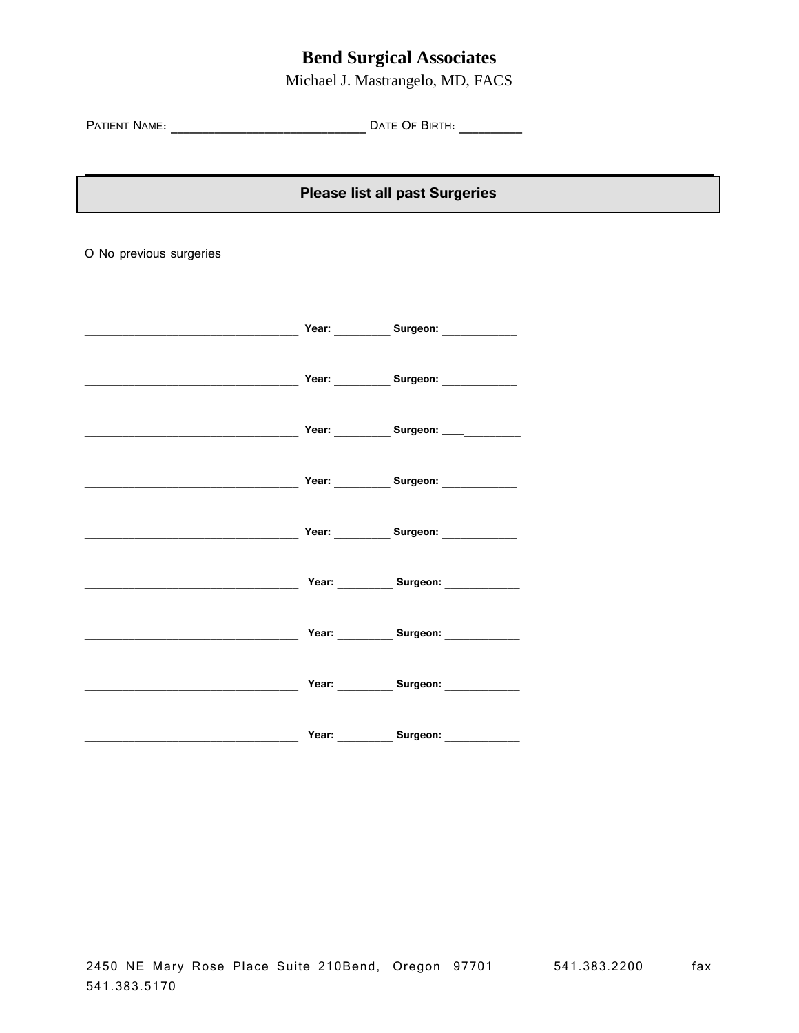## **Bend Surgical Associates**

Michael J. Mastrangelo, MD, FACS

PATIENT NAME: \_\_\_\_\_\_\_\_\_\_\_\_\_\_\_\_\_\_\_\_\_\_\_\_\_\_\_\_\_\_\_ DATE OF BIRTH: \_\_\_\_\_\_\_\_\_\_

### **Please list all past Surgeries**

O No previous surgeries

|  | Year: __________ Surgeon: ____________                   |  |
|--|----------------------------------------------------------|--|
|  | Year: Surgeon: 2008                                      |  |
|  | Year: ___________ Surgeon: ____ <sub>_____</sub> _______ |  |
|  | Year: ____________ Surgeon: _____________                |  |
|  | Year: _____________ Surgeon: ______________              |  |
|  | Year: __________ Surgeon: ___________                    |  |
|  | Year: Surgeon: Surgeon:                                  |  |
|  | Year: __________ Surgeon: ___________                    |  |
|  | Year: Surgeon:                                           |  |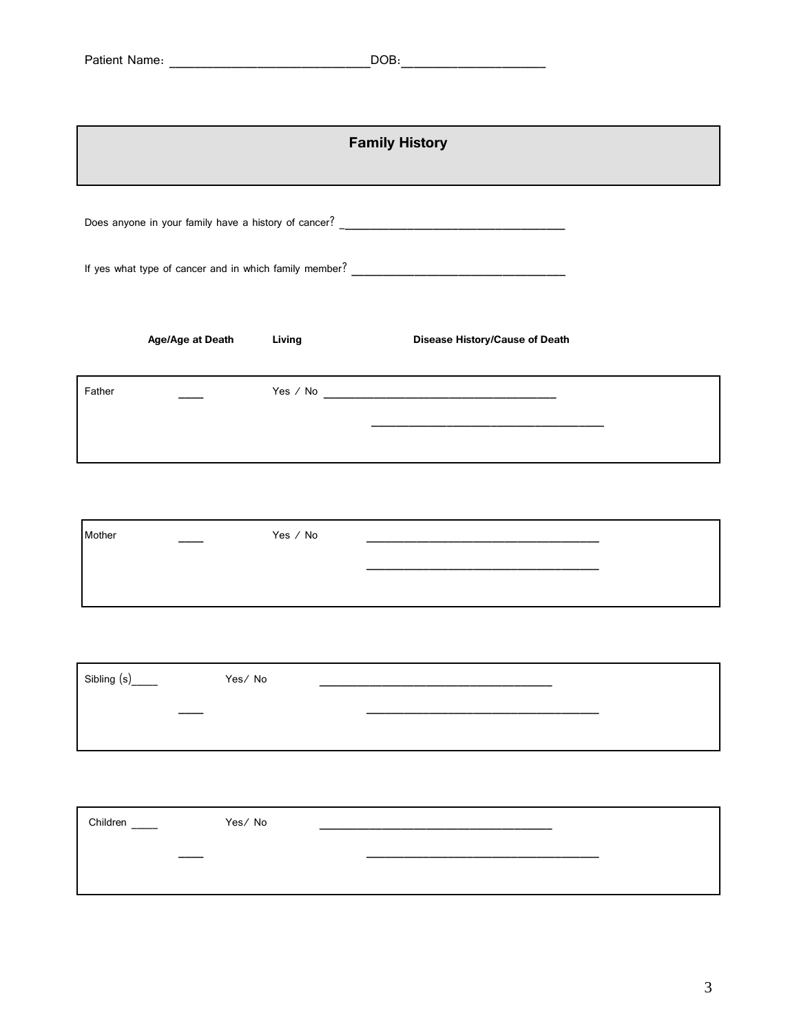|             | <b>Family History</b> |          |                                |  |
|-------------|-----------------------|----------|--------------------------------|--|
|             |                       |          |                                |  |
|             |                       |          |                                |  |
|             | Age/Age at Death      | Living   | Disease History/Cause of Death |  |
| Father      |                       |          |                                |  |
|             |                       |          |                                |  |
|             |                       |          |                                |  |
| Mother      |                       | Yes / No |                                |  |
|             |                       |          |                                |  |
| Sibling (s) | Yes/No                |          |                                |  |
|             |                       |          |                                |  |

| Children<br>$\overline{\phantom{a}}$ | Yes/No |  |
|--------------------------------------|--------|--|
| the company's company's company's    |        |  |
|                                      |        |  |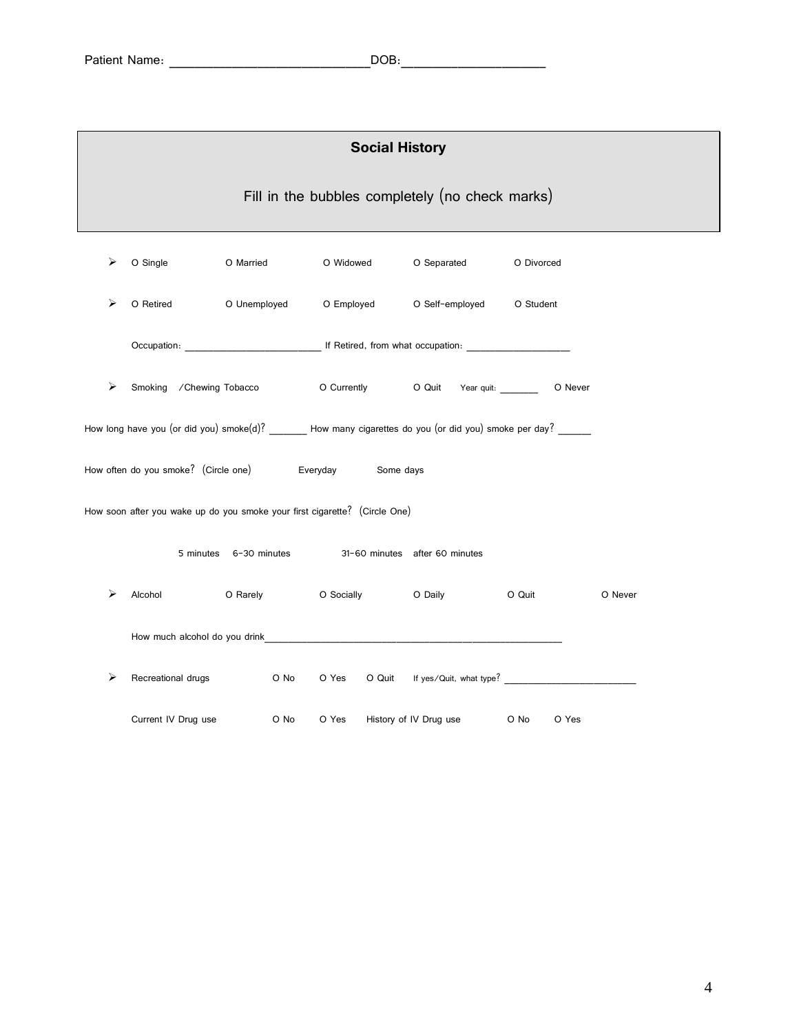|   | <b>Social History</b>                           |                        |                                                                                                                                                                                                                               |                        |               |         |
|---|-------------------------------------------------|------------------------|-------------------------------------------------------------------------------------------------------------------------------------------------------------------------------------------------------------------------------|------------------------|---------------|---------|
|   | Fill in the bubbles completely (no check marks) |                        |                                                                                                                                                                                                                               |                        |               |         |
| ⋗ | O Single                                        | O Married              | O Widowed                                                                                                                                                                                                                     | O Separated            | O Divorced    |         |
| ⋗ | O Retired                                       | O Unemployed           | O Employed O Self-employed O Student                                                                                                                                                                                          |                        |               |         |
|   |                                                 |                        |                                                                                                                                                                                                                               |                        |               |         |
| ⋗ | Smoking / Chewing Tobacco                       |                        | O Currently C Quit Year quit:                                                                                                                                                                                                 |                        | O Never       |         |
|   |                                                 |                        | How long have you (or did you) smoke(d)? How many cigarettes do you (or did you) smoke per day?                                                                                                                               |                        |               |         |
|   |                                                 |                        | How often do you smoke? (Circle one) Everyday Some days                                                                                                                                                                       |                        |               |         |
|   |                                                 |                        | How soon after you wake up do you smoke your first cigarette? (Circle One)                                                                                                                                                    |                        |               |         |
|   |                                                 | 5 minutes 6-30 minutes | 31-60 minutes after 60 minutes                                                                                                                                                                                                |                        |               |         |
|   | Alcohol                                         |                        | O Rarely C Socially C Daily                                                                                                                                                                                                   |                        | O Quit        | O Never |
|   |                                                 |                        | How much alcohol do you drink experience and a series of the series of the series of the series of the series of the series of the series of the series of the series of the series of the series of the series of the series |                        |               |         |
|   | Recreational drugs                              | O No                   | O Yes                                                                                                                                                                                                                         |                        |               |         |
|   | Current IV Drug use                             | O No                   | O Yes                                                                                                                                                                                                                         | History of IV Drug use | O No<br>O Yes |         |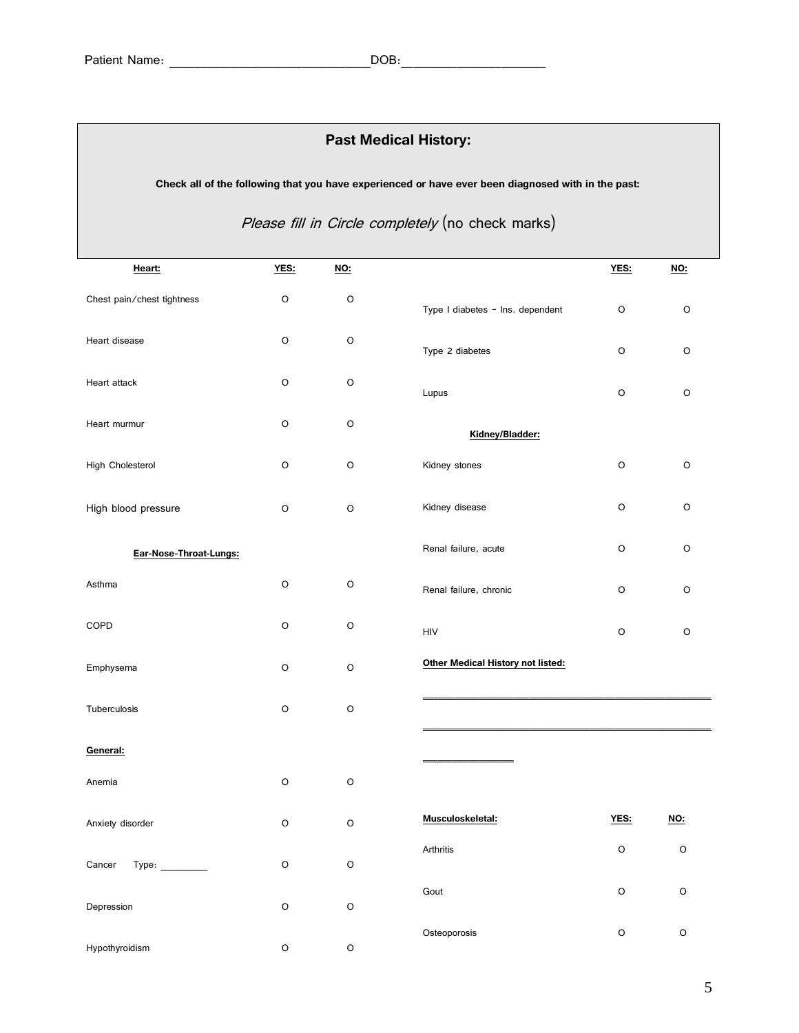| <b>Past Medical History:</b> |                                                                                                    |         |                                   |         |             |  |
|------------------------------|----------------------------------------------------------------------------------------------------|---------|-----------------------------------|---------|-------------|--|
|                              | Check all of the following that you have experienced or have ever been diagnosed with in the past: |         |                                   |         |             |  |
|                              | Please fill in Circle completely (no check marks)                                                  |         |                                   |         |             |  |
| Heart:                       | YES:                                                                                               | $NO$    |                                   | YES:    | <u>NO:</u>  |  |
| Chest pain/chest tightness   | O                                                                                                  | O       | Type I diabetes - Ins. dependent  | O       | O           |  |
| Heart disease                | O                                                                                                  | O       | Type 2 diabetes                   | O       | O           |  |
| Heart attack                 | O                                                                                                  | $\circ$ | Lupus                             | O       | O           |  |
| Heart murmur                 | O                                                                                                  | O       | Kidney/Bladder:                   |         |             |  |
| High Cholesterol             | O                                                                                                  | O       | Kidney stones                     | O       | O           |  |
| High blood pressure          | O                                                                                                  | O       | Kidney disease                    | O       | O           |  |
| Ear-Nose-Throat-Lungs:       |                                                                                                    |         | Renal failure, acute              | O       | O           |  |
| Asthma                       | O                                                                                                  | $\circ$ | Renal failure, chronic            | O       | O           |  |
| COPD                         | O                                                                                                  | O       | HIV                               | O       | O           |  |
| Emphysema                    | O                                                                                                  | O       | Other Medical History not listed: |         |             |  |
| Tuberculosis                 | $\circ$                                                                                            | O       |                                   |         |             |  |
| General:                     |                                                                                                    |         |                                   |         |             |  |
| Anemia                       | $\mathsf O$                                                                                        | $\circ$ |                                   |         |             |  |
| Anxiety disorder             | $\circ$                                                                                            | $\circ$ | Musculoskeletal:                  | YES:    | <u>NO:</u>  |  |
| Cancer<br>Type:              | $\mathsf O$                                                                                        | $\circ$ | Arthritis                         | $\circ$ | $\mathsf O$ |  |
| Depression                   | $\mathsf O$                                                                                        | $\circ$ | Gout                              | $\circ$ | $\mathsf O$ |  |
|                              |                                                                                                    |         | Osteoporosis                      | $\circ$ | O           |  |

Hypothyroidism O O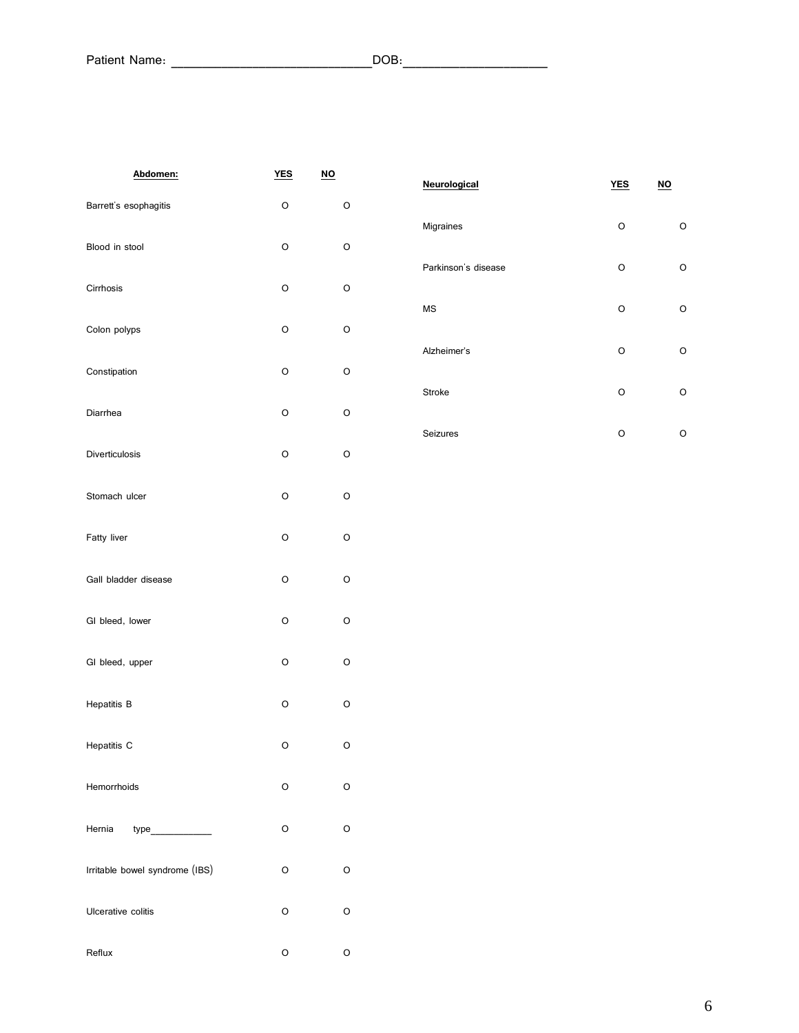| Abdomen:                       | <u>YES</u> | <u>NO</u> |
|--------------------------------|------------|-----------|
| Barrett's esophagitis          | O          | О         |
| Blood in stool                 | O          | O         |
| Cirrhosis                      | O          | O         |
| Colon polyps                   | O          | О         |
| Constipation                   | O          | O         |
| Diarrhea                       | O          | O         |
| Diverticulosis                 | O          | О         |
| Stomach ulcer                  | O          | O         |
| Fatty liver                    | O          | O         |
| Gall bladder disease           | O          | O         |
| GI bleed, lower                | O          | O         |
| GI bleed, upper                | O          | O         |
| <b>Hepatitis B</b>             | O          | O         |
| Hepatitis C                    | O          | O         |
| Hemorrhoids                    | O          | O         |
| Hernia<br>type______________   | O          | O         |
| Irritable bowel syndrome (IBS) | O          | O         |
| Ulcerative colitis             | O          | O         |
| Reflux                         | O          | O         |

| Neurological        | <b>YES</b> | NO |
|---------------------|------------|----|
| Migraines           | O          | Ω  |
| Parkinson's disease | O          | Ω  |
| <b>MS</b>           | $\Omega$   | Ω  |
| Alzheimer's         | O          | O  |
| <b>Stroke</b>       | O          | O  |
| Seizures            | Ω          | Ω  |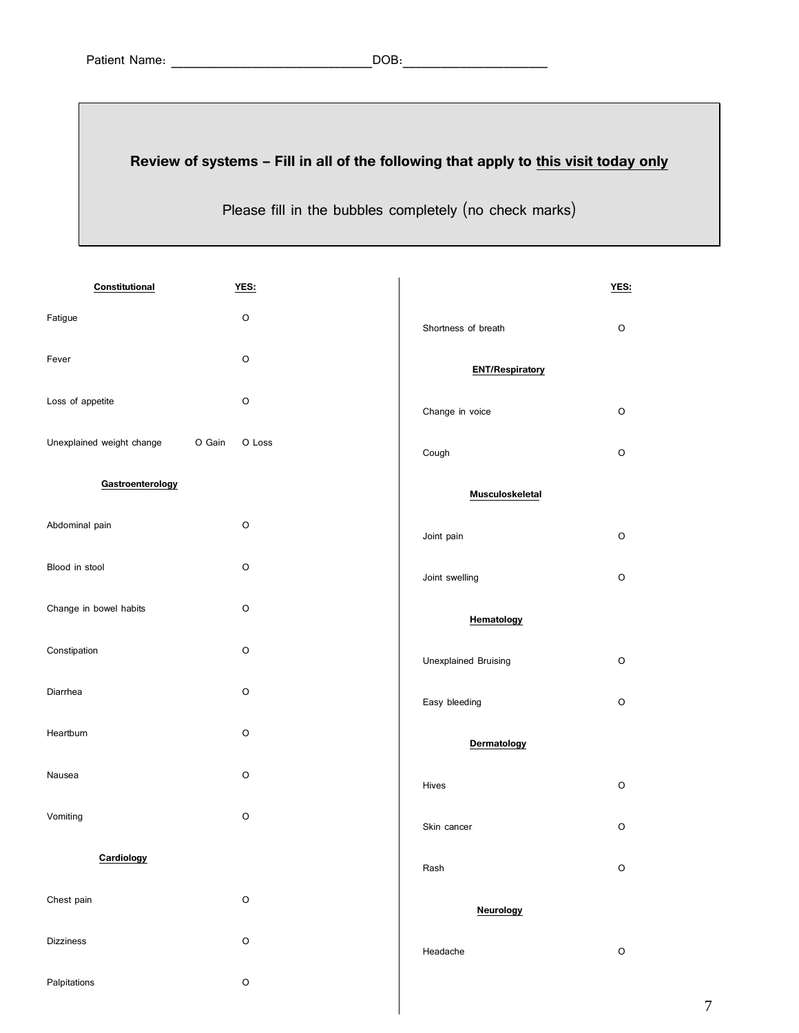## **Review of systems – Fill in all of the following that apply to this visit today only**

Please fill in the bubbles completely (no check marks)

| Constitutional            | YES:             |                        | YES:        |
|---------------------------|------------------|------------------------|-------------|
| Fatigue                   | $\circ$          | Shortness of breath    | O           |
| Fever                     | $\circ$          | <b>ENT/Respiratory</b> |             |
| Loss of appetite          | $\circ$          | Change in voice        | O           |
| Unexplained weight change | O Gain<br>O Loss | Cough                  | O           |
| Gastroenterology          |                  | Musculoskeletal        |             |
| Abdominal pain            | $\circ$          | Joint pain             | O           |
| Blood in stool            | $\circ$          | Joint swelling         | O           |
| Change in bowel habits    | O                | Hematology             |             |
| Constipation              | $\circ$          | Unexplained Bruising   | O           |
| Diarrhea                  | $\circ$          | Easy bleeding          | O           |
| Heartburn                 | $\circ$          | Dermatology            |             |
| Nausea                    | $\circ$          | Hives                  | O           |
| Vomiting                  | $\mathsf O$      | Skin cancer            | O           |
| Cardiology                |                  | Rash                   | $\circ$     |
| Chest pain                | $\hbox{O}$       | <b>Neurology</b>       |             |
| <b>Dizziness</b>          | $\hbox{O}$       | Headache               | $\mathsf O$ |
| Palpitations              | $\hbox{O}$       |                        |             |